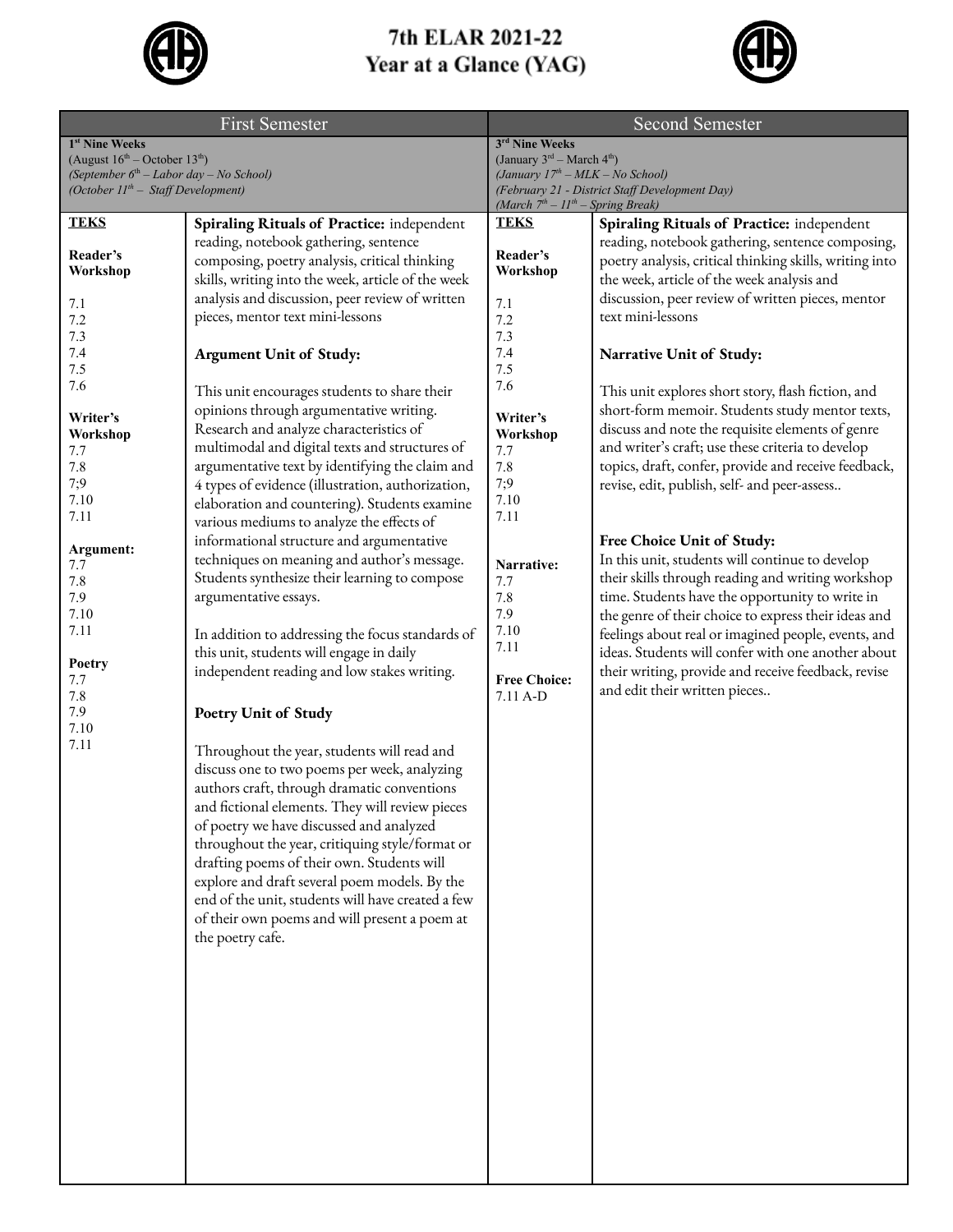

## 7th ELAR 2021-22 Year at a Glance (YAG)



| <b>First Semester</b>                                                                          |                                                                                                | <b>Second Semester</b>                                                                |                                                                                      |
|------------------------------------------------------------------------------------------------|------------------------------------------------------------------------------------------------|---------------------------------------------------------------------------------------|--------------------------------------------------------------------------------------|
| 1 <sup>st</sup> Nine Weeks                                                                     |                                                                                                | 3rd Nine Weeks                                                                        |                                                                                      |
| (August $16^{\text{th}}$ – October $13^{\text{th}}$ )                                          |                                                                                                | (January 3rd - March 4th)                                                             |                                                                                      |
| (September 6 <sup>th</sup> – Labor day – No School)<br>(October $11^{th}$ – Staff Development) |                                                                                                | (January $17th - MLK - No School$ )<br>(February 21 - District Staff Development Day) |                                                                                      |
|                                                                                                |                                                                                                | (March $7th - 11th - Spring Break$ )                                                  |                                                                                      |
| <b>TEKS</b>                                                                                    | Spiraling Rituals of Practice: independent                                                     | <b>TEKS</b>                                                                           | Spiraling Rituals of Practice: independent                                           |
|                                                                                                | reading, notebook gathering, sentence                                                          |                                                                                       | reading, notebook gathering, sentence composing,                                     |
| Reader's                                                                                       | composing, poetry analysis, critical thinking                                                  | Reader's                                                                              | poetry analysis, critical thinking skills, writing into                              |
| Workshop                                                                                       | skills, writing into the week, article of the week                                             | Workshop                                                                              | the week, article of the week analysis and                                           |
| 7.1                                                                                            | analysis and discussion, peer review of written                                                | 7.1                                                                                   | discussion, peer review of written pieces, mentor                                    |
| 7.2                                                                                            | pieces, mentor text mini-lessons                                                               | 7.2                                                                                   | text mini-lessons                                                                    |
| 7.3                                                                                            |                                                                                                | 7.3                                                                                   |                                                                                      |
| 7.4                                                                                            | <b>Argument Unit of Study:</b>                                                                 | 7.4                                                                                   | Narrative Unit of Study:                                                             |
| 7.5                                                                                            |                                                                                                | 7.5                                                                                   |                                                                                      |
| 7.6                                                                                            | This unit encourages students to share their                                                   | 7.6                                                                                   | This unit explores short story, flash fiction, and                                   |
| Writer's                                                                                       | opinions through argumentative writing.                                                        | Writer's                                                                              | short-form memoir. Students study mentor texts,                                      |
| Workshop                                                                                       | Research and analyze characteristics of                                                        | Workshop                                                                              | discuss and note the requisite elements of genre                                     |
| 7.7                                                                                            | multimodal and digital texts and structures of                                                 | 7.7                                                                                   | and writer's craft; use these criteria to develop                                    |
| 7.8                                                                                            | argumentative text by identifying the claim and                                                | 7.8                                                                                   | topics, draft, confer, provide and receive feedback,                                 |
| 7:9                                                                                            | 4 types of evidence (illustration, authorization,                                              | 7;9                                                                                   | revise, edit, publish, self- and peer-assess                                         |
| 7.10<br>7.11                                                                                   | elaboration and countering). Students examine                                                  | 7.10<br>7.11                                                                          |                                                                                      |
|                                                                                                | various mediums to analyze the effects of                                                      |                                                                                       |                                                                                      |
| Argument:                                                                                      | informational structure and argumentative                                                      |                                                                                       | Free Choice Unit of Study:                                                           |
| 7.7                                                                                            | techniques on meaning and author's message.                                                    | Narrative:                                                                            | In this unit, students will continue to develop                                      |
| 7.8                                                                                            | Students synthesize their learning to compose                                                  | 7.7                                                                                   | their skills through reading and writing workshop                                    |
| 7.9                                                                                            | argumentative essays.                                                                          | 7.8                                                                                   | time. Students have the opportunity to write in                                      |
| 7.10<br>7.11                                                                                   |                                                                                                | 7.9<br>7.10                                                                           | the genre of their choice to express their ideas and                                 |
|                                                                                                | In addition to addressing the focus standards of                                               | 7.11                                                                                  | feelings about real or imagined people, events, and                                  |
| Poetry                                                                                         | this unit, students will engage in daily                                                       |                                                                                       | ideas. Students will confer with one another about                                   |
| 7.7                                                                                            | independent reading and low stakes writing.                                                    | <b>Free Choice:</b>                                                                   | their writing, provide and receive feedback, revise<br>and edit their written pieces |
| 7.8                                                                                            |                                                                                                | $7.11$ A-D                                                                            |                                                                                      |
| 7.9<br>7.10                                                                                    | <b>Poetry Unit of Study</b>                                                                    |                                                                                       |                                                                                      |
| 7.11                                                                                           |                                                                                                |                                                                                       |                                                                                      |
|                                                                                                | Throughout the year, students will read and                                                    |                                                                                       |                                                                                      |
|                                                                                                | discuss one to two poems per week, analyzing                                                   |                                                                                       |                                                                                      |
|                                                                                                | authors craft, through dramatic conventions<br>and fictional elements. They will review pieces |                                                                                       |                                                                                      |
|                                                                                                | of poetry we have discussed and analyzed                                                       |                                                                                       |                                                                                      |
|                                                                                                | throughout the year, critiquing style/format or                                                |                                                                                       |                                                                                      |
|                                                                                                | drafting poems of their own. Students will                                                     |                                                                                       |                                                                                      |
|                                                                                                | explore and draft several poem models. By the                                                  |                                                                                       |                                                                                      |
|                                                                                                | end of the unit, students will have created a few                                              |                                                                                       |                                                                                      |
|                                                                                                | of their own poems and will present a poem at                                                  |                                                                                       |                                                                                      |
|                                                                                                | the poetry cafe.                                                                               |                                                                                       |                                                                                      |
|                                                                                                |                                                                                                |                                                                                       |                                                                                      |
|                                                                                                |                                                                                                |                                                                                       |                                                                                      |
|                                                                                                |                                                                                                |                                                                                       |                                                                                      |
|                                                                                                |                                                                                                |                                                                                       |                                                                                      |
|                                                                                                |                                                                                                |                                                                                       |                                                                                      |
|                                                                                                |                                                                                                |                                                                                       |                                                                                      |
|                                                                                                |                                                                                                |                                                                                       |                                                                                      |
|                                                                                                |                                                                                                |                                                                                       |                                                                                      |
|                                                                                                |                                                                                                |                                                                                       |                                                                                      |
|                                                                                                |                                                                                                |                                                                                       |                                                                                      |
|                                                                                                |                                                                                                |                                                                                       |                                                                                      |
|                                                                                                |                                                                                                |                                                                                       |                                                                                      |
|                                                                                                |                                                                                                |                                                                                       |                                                                                      |